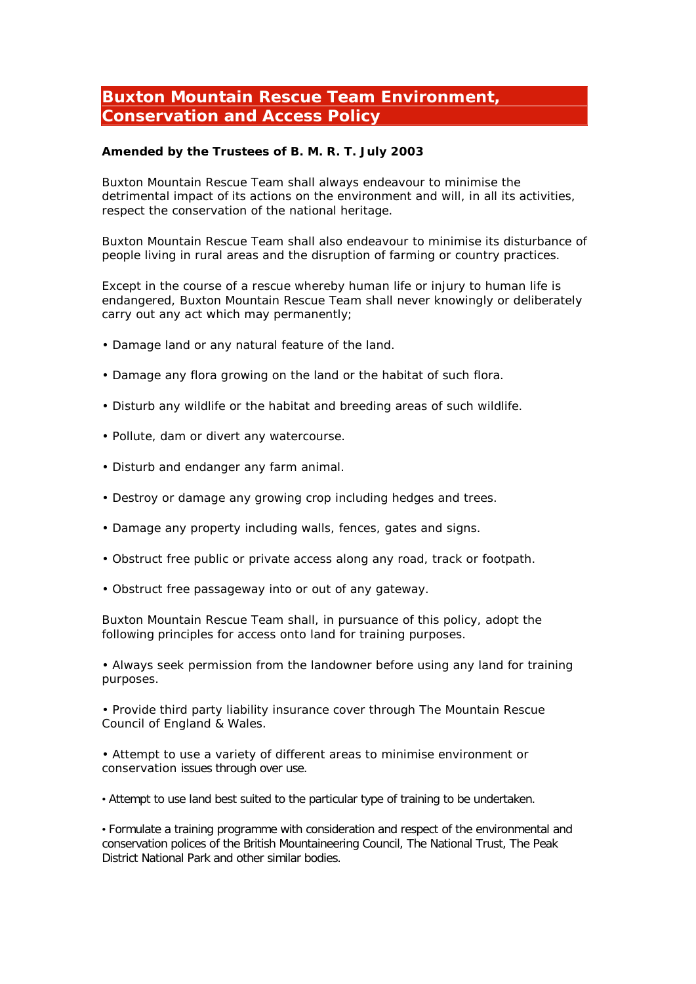## **Buxton Mountain Rescue Team Environment, Conservation and Access Policy**

**Amended by the Trustees of B. M. R. T. July 2003**

Buxton Mountain Rescue Team shall always endeavour to minimise the detrimental impact of its actions on the environment and will, in all its activities, respect the conservation of the national heritage.

Buxton Mountain Rescue Team shall also endeavour to minimise its disturbance of people living in rural areas and the disruption of farming or country practices.

Except in the course of a rescue whereby human life or injury to human life is endangered, Buxton Mountain Rescue Team shall never knowingly or deliberately carry out any act which may permanently;

- Damage land or any natural feature of the land.
- Damage any flora growing on the land or the habitat of such flora.
- Disturb any wildlife or the habitat and breeding areas of such wildlife.
- Pollute, dam or divert any watercourse.
- Disturb and endanger any farm animal.
- Destroy or damage any growing crop including hedges and trees.
- Damage any property including walls, fences, gates and signs.
- Obstruct free public or private access along any road, track or footpath.
- Obstruct free passageway into or out of any gateway.

Buxton Mountain Rescue Team shall, in pursuance of this policy, adopt the following principles for access onto land for training purposes.

• Always seek permission from the landowner before using any land for training purposes.

• Provide third party liability insurance cover through The Mountain Rescue Council of England & Wales.

• Attempt to use a variety of different areas to minimise environment or conservation issues through over use.

• Attempt to use land best suited to the particular type of training to be undertaken.

• Formulate a training programme with consideration and respect of the environmental and conservation polices of the British Mountaineering Council, The National Trust, The Peak District National Park and other similar bodies.